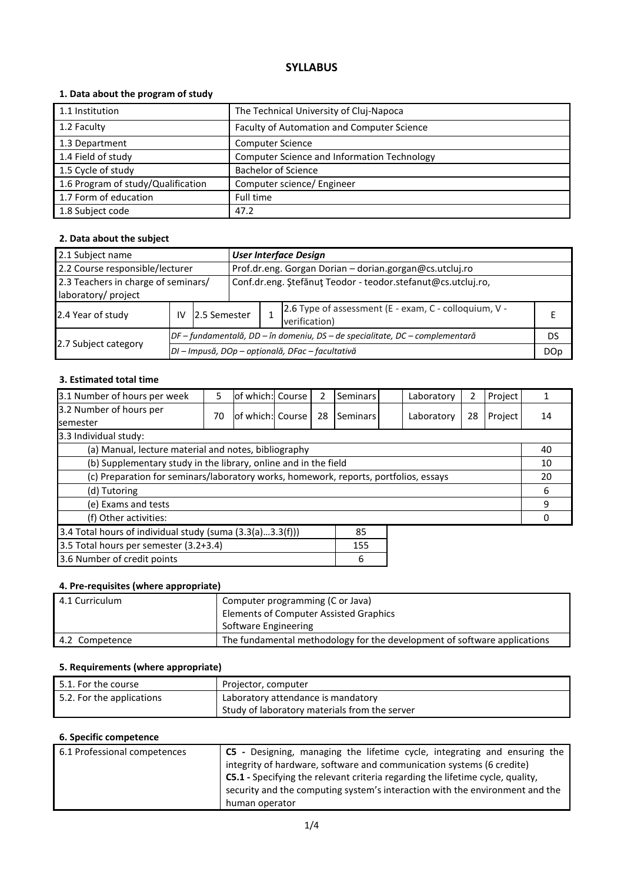# **SYLLABUS**

## **1. Data about the program of study**

| 1.1 Institution                    | The Technical University of Cluj-Napoca     |
|------------------------------------|---------------------------------------------|
| 1.2 Faculty                        | Faculty of Automation and Computer Science  |
| 1.3 Department                     | <b>Computer Science</b>                     |
| 1.4 Field of study                 | Computer Science and Information Technology |
| 1.5 Cycle of study                 | <b>Bachelor of Science</b>                  |
| 1.6 Program of study/Qualification | Computer science/ Engineer                  |
| 1.7 Form of education              | Full time                                   |
| 1.8 Subject code                   | 47.2                                        |

## **2. Data about the subject**

| 2.1 Subject name                                           |                                                         |                                                  |                                                              | <b>User Interface Design</b>                                                 |                                                                        |  |
|------------------------------------------------------------|---------------------------------------------------------|--------------------------------------------------|--------------------------------------------------------------|------------------------------------------------------------------------------|------------------------------------------------------------------------|--|
| 2.2 Course responsible/lecturer                            | Prof.dr.eng. Gorgan Dorian - dorian.gorgan@cs.utcluj.ro |                                                  |                                                              |                                                                              |                                                                        |  |
| 2.3 Teachers in charge of seminars/<br>laboratory/ project |                                                         |                                                  | Conf.dr.eng. Ştefănuţ Teodor - teodor.stefanut@cs.utcluj.ro, |                                                                              |                                                                        |  |
| 2.4 Year of study                                          | IV                                                      | 12.5 Semester                                    |                                                              |                                                                              | 2.6 Type of assessment (E - exam, C - colloquium, V -<br>verification) |  |
|                                                            |                                                         |                                                  |                                                              | DF – fundamentală, DD – în domeniu, DS – de specialitate, DC – complementară |                                                                        |  |
| 2.7 Subject category                                       |                                                         | DI - Impusă, DOp - opțională, DFac - facultativă |                                                              |                                                                              |                                                                        |  |

### **3. Estimated total time**

| 3.1 Number of hours per week                                                         | 5  | of which: Course |  | 2  | Seminars |    | Laboratory | 2  | Project |    |
|--------------------------------------------------------------------------------------|----|------------------|--|----|----------|----|------------|----|---------|----|
| 3.2 Number of hours per<br><b>semester</b>                                           | 70 | of which: Course |  | 28 | Seminars |    | Laboratory | 28 | Project | 14 |
| 3.3 Individual study:                                                                |    |                  |  |    |          |    |            |    |         |    |
| (a) Manual, lecture material and notes, bibliography                                 |    |                  |  |    |          |    |            |    |         | 40 |
| (b) Supplementary study in the library, online and in the field                      |    |                  |  |    |          | 10 |            |    |         |    |
| (c) Preparation for seminars/laboratory works, homework, reports, portfolios, essays |    |                  |  |    |          | 20 |            |    |         |    |
| (d) Tutoring                                                                         |    |                  |  |    |          | 6  |            |    |         |    |
| (e) Exams and tests                                                                  |    |                  |  |    |          |    | 9          |    |         |    |
| (f) Other activities:                                                                |    |                  |  |    |          |    |            |    |         |    |
| 3.4 Total hours of individual study (suma (3.3(a)3.3(f)))<br>85                      |    |                  |  |    |          |    |            |    |         |    |
| 3.5 Total hours per semester (3.2+3.4)                                               |    |                  |  |    | 155      |    |            |    |         |    |
| 3.6 Number of credit points                                                          |    |                  |  |    | 6        |    |            |    |         |    |

## **4. Pre-requisites (where appropriate)**

| 4.1 Curriculum | Computer programming (C or Java)                                         |
|----------------|--------------------------------------------------------------------------|
|                | <b>Elements of Computer Assisted Graphics</b>                            |
|                | Software Engineering                                                     |
| 4.2 Competence | The fundamental methodology for the development of software applications |

### **5. Requirements (where appropriate)**

| $\mid$ 5.1. For the course | Projector, computer                                                                 |
|----------------------------|-------------------------------------------------------------------------------------|
| 5.2. For the applications  | Laboratory attendance is mandatory<br>Study of laboratory materials from the server |
|                            |                                                                                     |

## **6. Specific competence**

| 6.1 Professional competences | C5 - Designing, managing the lifetime cycle, integrating and ensuring the<br>integrity of hardware, software and communication systems (6 credite)<br><b>C5.1</b> - Specifying the relevant criteria regarding the lifetime cycle, quality,<br>security and the computing system's interaction with the environment and the |
|------------------------------|-----------------------------------------------------------------------------------------------------------------------------------------------------------------------------------------------------------------------------------------------------------------------------------------------------------------------------|
|                              | human operator                                                                                                                                                                                                                                                                                                              |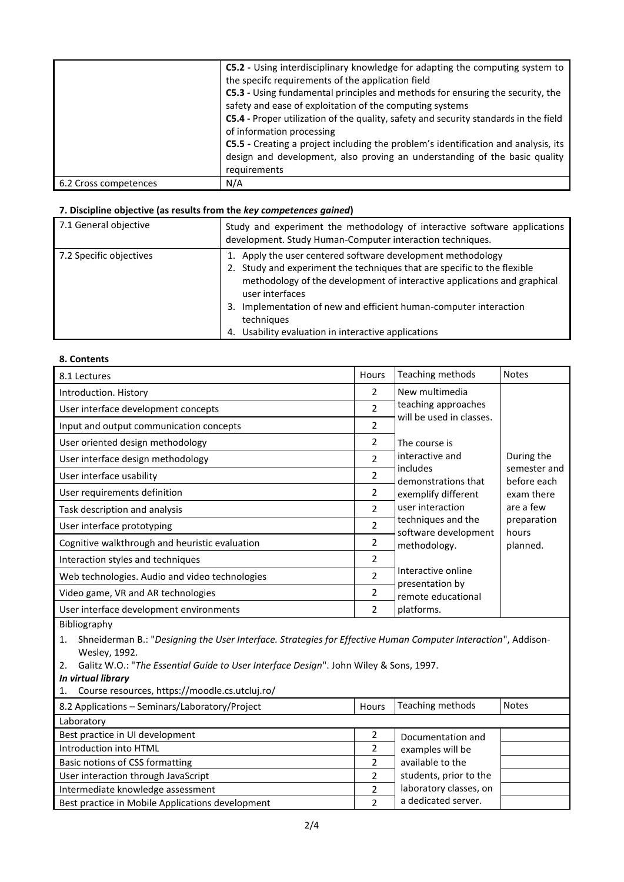|                       | C5.2 - Using interdisciplinary knowledge for adapting the computing system to<br>the specifc requirements of the application field<br>C5.3 - Using fundamental principles and methods for ensuring the security, the<br>safety and ease of exploitation of the computing systems<br>C5.4 - Proper utilization of the quality, safety and security standards in the field<br>of information processing<br>C5.5 - Creating a project including the problem's identification and analysis, its<br>design and development, also proving an understanding of the basic quality<br>requirements |
|-----------------------|-------------------------------------------------------------------------------------------------------------------------------------------------------------------------------------------------------------------------------------------------------------------------------------------------------------------------------------------------------------------------------------------------------------------------------------------------------------------------------------------------------------------------------------------------------------------------------------------|
| 6.2 Cross competences | N/A                                                                                                                                                                                                                                                                                                                                                                                                                                                                                                                                                                                       |

### **7. Discipline objective (as results from the** *key competences gained***)**

| 7.1 General objective   | Study and experiment the methodology of interactive software applications<br>development. Study Human-Computer interaction techniques.  |  |  |
|-------------------------|-----------------------------------------------------------------------------------------------------------------------------------------|--|--|
| 7.2 Specific objectives | 1. Apply the user centered software development methodology<br>2. Study and experiment the techniques that are specific to the flexible |  |  |
|                         | methodology of the development of interactive applications and graphical<br>user interfaces                                             |  |  |
|                         | 3. Implementation of new and efficient human-computer interaction<br>techniques                                                         |  |  |
|                         | Usability evaluation in interactive applications<br>4.                                                                                  |  |  |

#### **8. Contents**

| 8.1 Lectures                                   | <b>Hours</b>             | Teaching methods                           | <b>Notes</b>                |
|------------------------------------------------|--------------------------|--------------------------------------------|-----------------------------|
| Introduction. History                          | 2                        | New multimedia                             |                             |
| User interface development concepts            | $\mathfrak{p}$           | teaching approaches                        |                             |
| Input and output communication concepts        | 2                        | will be used in classes.                   |                             |
| User oriented design methodology               | 2                        | The course is                              |                             |
| User interface design methodology              | $\mathfrak{p}$           | interactive and                            | During the                  |
| User interface usability                       | 2                        | includes<br>demonstrations that            | semester and<br>before each |
| User requirements definition                   | 2                        | exemplify different                        | exam there                  |
| Task description and analysis                  | $\mathfrak{p}$           | user interaction                           | are a few                   |
| User interface prototyping                     | 2                        | techniques and the<br>software development | preparation<br>hours        |
| Cognitive walkthrough and heuristic evaluation | 2                        | methodology.                               | planned.                    |
| Interaction styles and techniques              | 2                        |                                            |                             |
| Web technologies. Audio and video technologies | $\overline{\phantom{a}}$ | Interactive online                         |                             |
| Video game, VR and AR technologies             | 2                        | presentation by<br>remote educational      |                             |
| User interface development environments        | 2                        | platforms.                                 |                             |

Bibliography

1. Shneiderman B.: "*Designing the User Interface. Strategies for Effective Human Computer Interaction*", Addison-Wesley, 1992.

2. Galitz W.O.: "*The Essential Guide to User Interface Design*". John Wiley & Sons, 1997.

*In virtual library*

1. Course resources, https://moodle.cs.utcluj.ro/

| 8.2 Applications - Seminars/Laboratory/Project   | Hours          | Teaching methods       | <b>Notes</b> |
|--------------------------------------------------|----------------|------------------------|--------------|
| Laboratory                                       |                |                        |              |
| Best practice in UI development                  |                | Documentation and      |              |
| Introduction into HTML                           |                | examples will be       |              |
| Basic notions of CSS formatting                  |                | available to the       |              |
| User interaction through JavaScript              |                | students, prior to the |              |
| Intermediate knowledge assessment                | $\mathfrak{p}$ | laboratory classes, on |              |
| Best practice in Mobile Applications development |                | a dedicated server.    |              |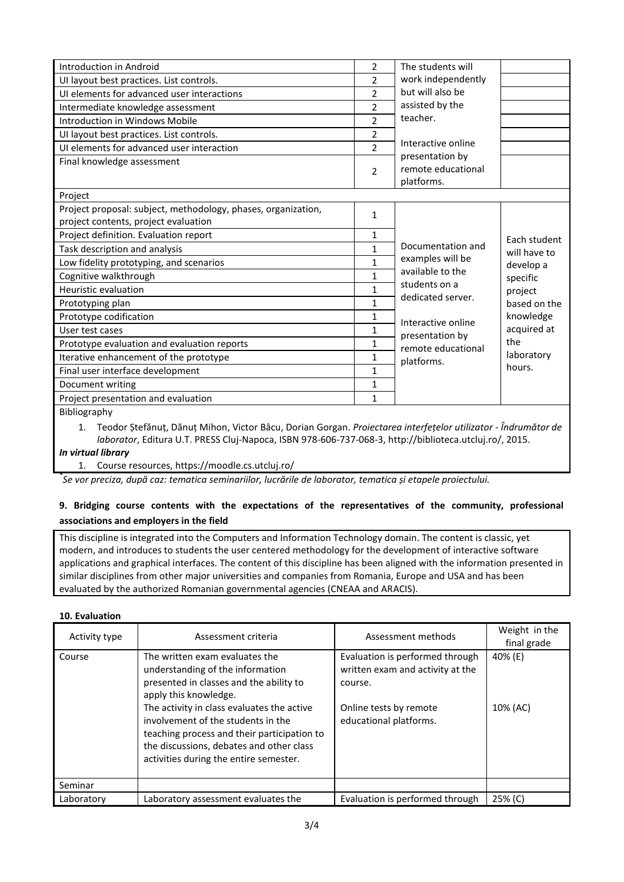| Introduction in Android                                                                               | 2                        | The students will                                   |              |
|-------------------------------------------------------------------------------------------------------|--------------------------|-----------------------------------------------------|--------------|
| UI layout best practices. List controls.                                                              | $\overline{2}$           | work independently                                  |              |
| UI elements for advanced user interactions                                                            | $\overline{\phantom{a}}$ | but will also be                                    |              |
| Intermediate knowledge assessment                                                                     | $\overline{2}$           | assisted by the                                     |              |
| Introduction in Windows Mobile                                                                        | $\overline{2}$           | teacher.                                            |              |
| UI layout best practices. List controls.                                                              | $\overline{2}$           |                                                     |              |
| UI elements for advanced user interaction                                                             | $\overline{\phantom{a}}$ | Interactive online                                  |              |
| Final knowledge assessment                                                                            | 2                        | presentation by<br>remote educational<br>platforms. |              |
| Project                                                                                               |                          |                                                     |              |
| Project proposal: subject, methodology, phases, organization,<br>project contents, project evaluation | $\mathbf{1}$             |                                                     |              |
| Project definition. Evaluation report                                                                 | $\mathbf{1}$             |                                                     | Each student |
| Task description and analysis                                                                         | $\mathbf{1}$             | Documentation and                                   | will have to |
| Low fidelity prototyping, and scenarios                                                               | $\mathbf{1}$             | examples will be                                    | develop a    |
| Cognitive walkthrough                                                                                 | $\mathbf{1}$             | available to the                                    | specific     |
| Heuristic evaluation                                                                                  | $\mathbf{1}$             | students on a                                       | project      |
| Prototyping plan                                                                                      | $\mathbf{1}$             | dedicated server.                                   | based on the |
| Prototype codification                                                                                | $\mathbf{1}$             | Interactive online                                  | knowledge    |
| User test cases                                                                                       | $\mathbf{1}$             | presentation by                                     | acquired at  |
| Prototype evaluation and evaluation reports                                                           | 1                        | remote educational                                  | the          |
| Iterative enhancement of the prototype                                                                | $\mathbf{1}$             | platforms.                                          | laboratory   |
| Final user interface development                                                                      | $\mathbf{1}$             |                                                     | hours.       |
| Document writing                                                                                      | $\mathbf{1}$             |                                                     |              |
| Project presentation and evaluation                                                                   | $\mathbf{1}$             |                                                     |              |
| Bibliography                                                                                          |                          |                                                     |              |

1. Teodor Ștefănuț, Dănuț Mihon, Victor Bâcu, Dorian Gorgan. *Proiectarea interfețelor utilizator - Îndrumător de laborator*, Editura U.T. PRESS Cluj-Napoca, ISBN 978-606-737-068-3, http://biblioteca.utcluj.ro/, 2015.

#### *In virtual library*

1. Course resources, https://moodle.cs.utcluj.ro/

*\* Se vor preciza, după caz: tematica seminariilor, lucrările de laborator, tematica și etapele proiectului.*

## **9. Bridging course contents with the expectations of the representatives of the community, professional associations and employers in the field**

This discipline is integrated into the Computers and Information Technology domain. The content is classic, yet modern, and introduces to students the user centered methodology for the development of interactive software applications and graphical interfaces. The content of this discipline has been aligned with the information presented in similar disciplines from other major universities and companies from Romania, Europe and USA and has been evaluated by the authorized Romanian governmental agencies (CNEAA and ARACIS).

#### **10. Evaluation**

| Activity type | Assessment criteria                                                                                                                                                                                                                                                                                                                                             | Assessment methods                                                                                                                 | Weight in the<br>final grade |
|---------------|-----------------------------------------------------------------------------------------------------------------------------------------------------------------------------------------------------------------------------------------------------------------------------------------------------------------------------------------------------------------|------------------------------------------------------------------------------------------------------------------------------------|------------------------------|
| Course        | The written exam evaluates the<br>understanding of the information<br>presented in classes and the ability to<br>apply this knowledge.<br>The activity in class evaluates the active<br>involvement of the students in the<br>teaching process and their participation to<br>the discussions, debates and other class<br>activities during the entire semester. | Evaluation is performed through<br>written exam and activity at the<br>course.<br>Online tests by remote<br>educational platforms. | 40% (E)<br>10% (AC)          |
| Seminar       |                                                                                                                                                                                                                                                                                                                                                                 |                                                                                                                                    |                              |
| Laboratory    | Laboratory assessment evaluates the                                                                                                                                                                                                                                                                                                                             | Evaluation is performed through                                                                                                    | 25% (C)                      |